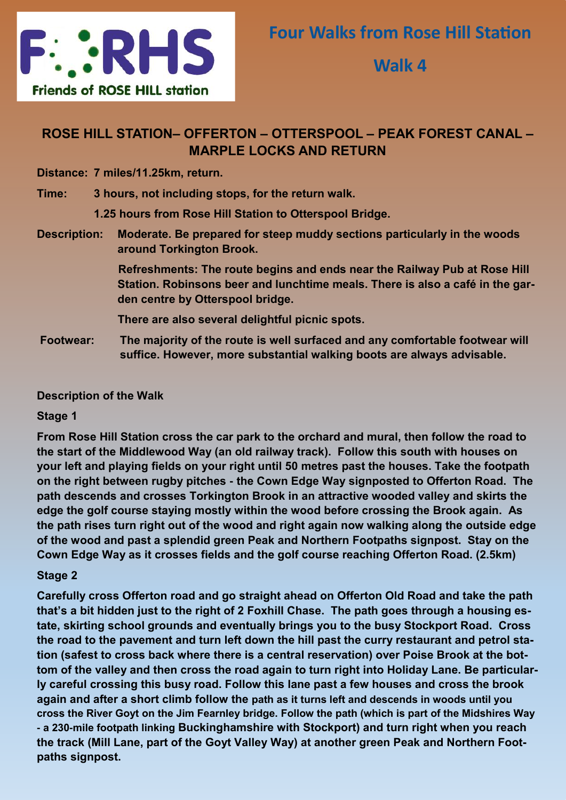

## **Walk 4**

### **ROSE HILL STATION– OFFERTON – OTTERSPOOL – PEAK FOREST CANAL – MARPLE LOCKS AND RETURN**

**Distance: 7 miles/11.25km, return.**

**Time: 3 hours, not including stops, for the return walk.** 

 **1.25 hours from Rose Hill Station to Otterspool Bridge.**

**Description: Moderate. Be prepared for steep muddy sections particularly in the woods around Torkington Brook.**

> **Refreshments: The route begins and ends near the Railway Pub at Rose Hill Station. Robinsons beer and lunchtime meals. There is also a café in the garden centre by Otterspool bridge.**

 **There are also several delightful picnic spots.**

**Footwear: The majority of the route is well surfaced and any comfortable footwear will suffice. However, more substantial walking boots are always advisable.**

#### **Description of the Walk**

#### **Stage 1**

**From Rose Hill Station cross the car park to the orchard and mural, then follow the road to the start of the Middlewood Way (an old railway track). Follow this south with houses on your left and playing fields on your right until 50 metres past the houses. Take the footpath on the right between rugby pitches - the Cown Edge Way signposted to Offerton Road. The path descends and crosses Torkington Brook in an attractive wooded valley and skirts the edge the golf course staying mostly within the wood before crossing the Brook again. As the path rises turn right out of the wood and right again now walking along the outside edge of the wood and past a splendid green Peak and Northern Footpaths signpost. Stay on the Cown Edge Way as it crosses fields and the golf course reaching Offerton Road. (2.5km)**

#### **Stage 2**

**Carefully cross Offerton road and go straight ahead on Offerton Old Road and take the path that's a bit hidden just to the right of 2 Foxhill Chase. The path goes through a housing estate, skirting school grounds and eventually brings you to the busy Stockport Road. Cross the road to the pavement and turn left down the hill past the curry restaurant and petrol station (safest to cross back where there is a central reservation) over Poise Brook at the bottom of the valley and then cross the road again to turn right into Holiday Lane. Be particularly careful crossing this busy road. Follow this lane past a few houses and cross the brook again and after a short climb follow the path as it turns left and descends in woods until you cross the River Goyt on the Jim Fearnley bridge. Follow the path (which is part of the Midshires Way - a 230-mile footpath linking Buckinghamshire with Stockport) and turn right when you reach the track (Mill Lane, part of the Goyt Valley Way) at another green Peak and Northern Footpaths signpost.**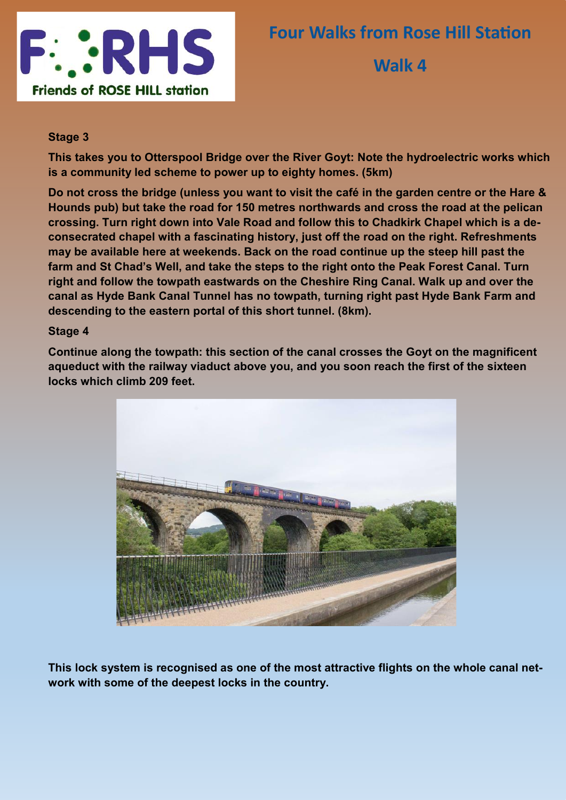

**Walk 4**

#### **Stage 3**

**This takes you to Otterspool Bridge over the River Goyt: Note the hydroelectric works which is a community led scheme to power up to eighty homes. (5km)**

**Do not cross the bridge (unless you want to visit the café in the garden centre or the Hare & Hounds pub) but take the road for 150 metres northwards and cross the road at the pelican crossing. Turn right down into Vale Road and follow this to Chadkirk Chapel which is a deconsecrated chapel with a fascinating history, just off the road on the right. Refreshments may be available here at weekends. Back on the road continue up the steep hill past the farm and St Chad's Well, and take the steps to the right onto the Peak Forest Canal. Turn right and follow the towpath eastwards on the Cheshire Ring Canal. Walk up and over the canal as Hyde Bank Canal Tunnel has no towpath, turning right past Hyde Bank Farm and descending to the eastern portal of this short tunnel. (8km).**

#### **Stage 4**

**Continue along the towpath: this section of the canal crosses the Goyt on the magnificent aqueduct with the railway viaduct above you, and you soon reach the first of the sixteen locks which climb 209 feet.** 



**This lock system is recognised as one of the most attractive flights on the whole canal network with some of the deepest locks in the country.**